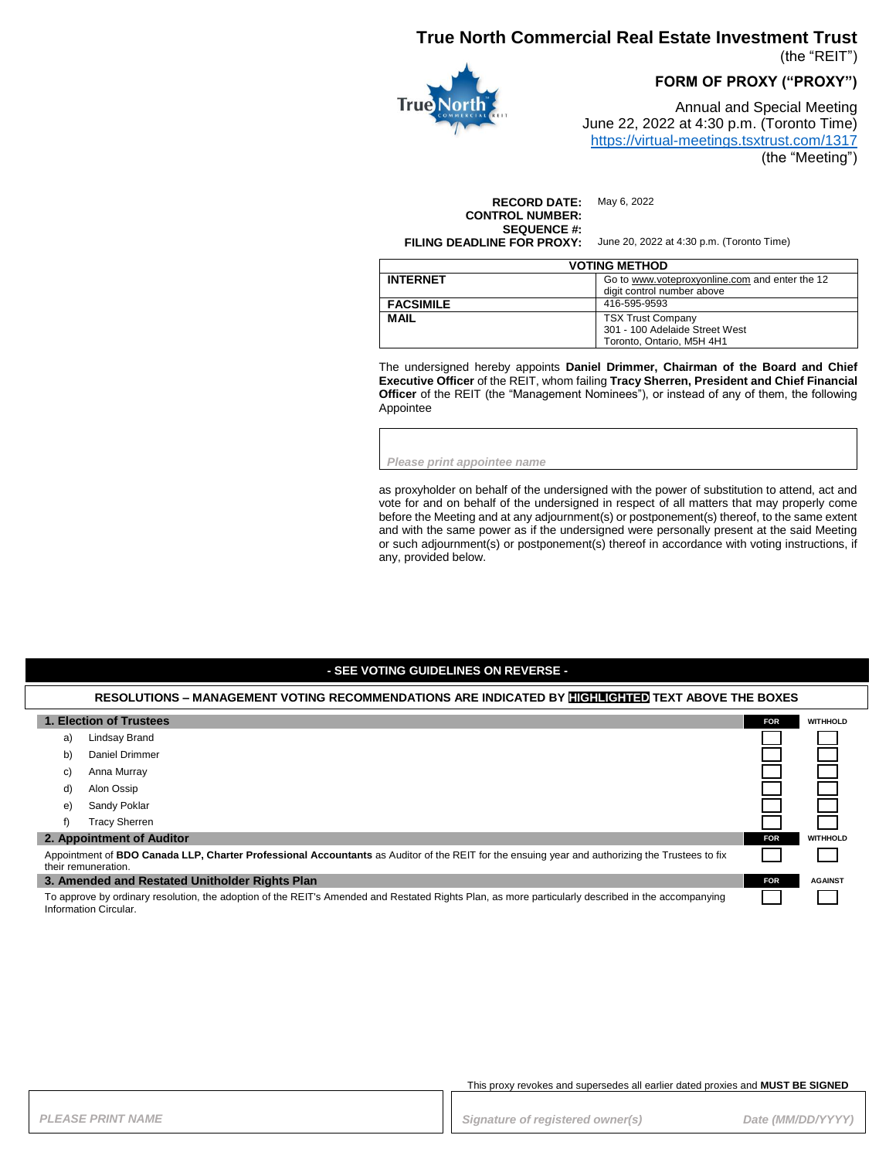# **True North Commercial Real Estate Investment Trust**

(the "REIT")

**FORM OF PROXY ("PROXY")**



Annual and Special Meeting June 22, 2022 at 4:30 p.m. (Toronto Time) <https://virtual-meetings.tsxtrust.com/1317> (the "Meeting")

**RECORD DATE:** May 6, 2022 **CONTROL NUMBER: SEQUENCE #: FILING DEADLINE FOR PROXY:** June 20, 2022 at 4:30 p.m. (Toronto Time)

| <b>VOTING METHOD</b> |                                                                                         |  |
|----------------------|-----------------------------------------------------------------------------------------|--|
| <b>INTERNET</b>      | Go to www.voteproxyonline.com and enter the 12<br>digit control number above            |  |
| <b>FACSIMILE</b>     | 416-595-9593                                                                            |  |
| <b>MAIL</b>          | <b>TSX Trust Company</b><br>301 - 100 Adelaide Street West<br>Toronto. Ontario. M5H 4H1 |  |

The undersigned hereby appoints **Daniel Drimmer, Chairman of the Board and Chief Executive Officer** of the REIT, whom failing **Tracy Sherren, President and Chief Financial Officer** of the REIT (the "Management Nominees"), or instead of any of them, the following Appointee

*Please print appointee name*

as proxyholder on behalf of the undersigned with the power of substitution to attend, act and vote for and on behalf of the undersigned in respect of all matters that may properly come before the Meeting and at any adjournment(s) or postponement(s) thereof, to the same extent and with the same power as if the undersigned were personally present at the said Meeting or such adjournment(s) or postponement(s) thereof in accordance with voting instructions, if any, provided below.

### **- SEE VOTING GUIDELINES ON REVERSE -**

#### **RESOLUTIONS – MANAGEMENT VOTING RECOMMENDATIONS ARE INDICATED BY HIGHLIGHTED TEXT ABOVE THE BOXES**

| 1. Election of Trustees                                                                                                                                                       |                           | <b>FOR</b> | <b>WITHHOLD</b> |
|-------------------------------------------------------------------------------------------------------------------------------------------------------------------------------|---------------------------|------------|-----------------|
| a)                                                                                                                                                                            | Lindsay Brand             |            |                 |
| b)                                                                                                                                                                            | Daniel Drimmer            |            |                 |
| C)                                                                                                                                                                            | Anna Murray               |            |                 |
| d)                                                                                                                                                                            | Alon Ossip                |            |                 |
| e)                                                                                                                                                                            | Sandy Poklar              |            |                 |
| f)                                                                                                                                                                            | <b>Tracy Sherren</b>      |            |                 |
|                                                                                                                                                                               | 2. Appointment of Auditor | <b>FOR</b> | <b>WITHHOLD</b> |
| Appointment of <b>BDO Canada LLP, Charter Professional Accountants</b> as Auditor of the REIT for the ensuing year and authorizing the Trustees to fix<br>their remuneration. |                           |            |                 |
| 3. Amended and Restated Unitholder Rights Plan                                                                                                                                |                           | <b>FOR</b> | <b>AGAINST</b>  |
| To approve by ordinary resolution, the adoption of the REIT's Amended and Restated Rights Plan, as more particularly described in the accompanying<br>Information Circular    |                           |            |                 |

#### This proxy revokes and supersedes all earlier dated proxies and **MUST BE SIGNED**

**PLEASE PRINT NAME** *PRINT NAME PLEASE PRINT NAME Date (MM/DD/YYYY)*